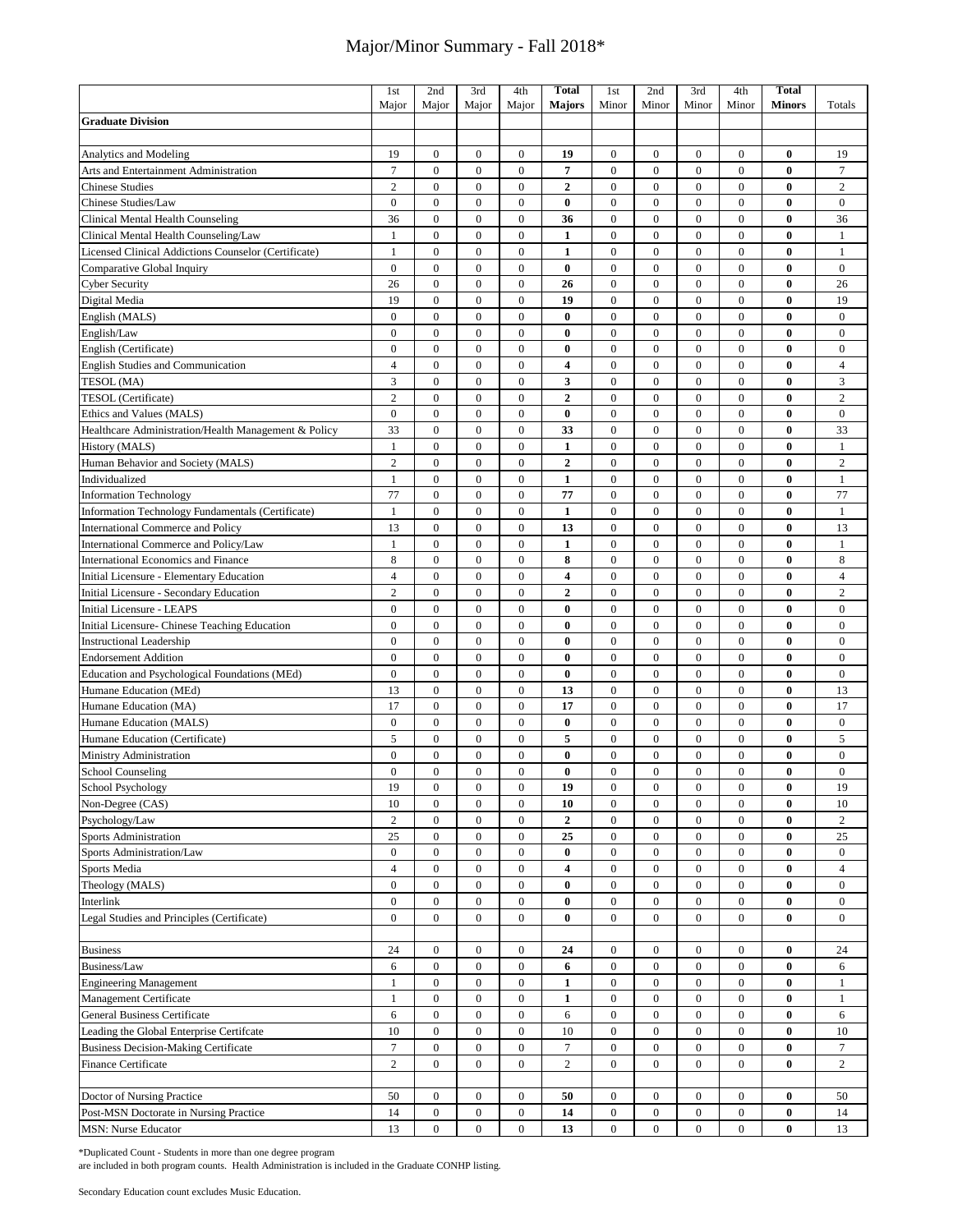|                                                      | 1st              | 2nd              | 3rd              | 4th              | <b>Total</b>            | 1st              | 2nd              | 3rd              | 4th              | <b>Total</b>  |                  |
|------------------------------------------------------|------------------|------------------|------------------|------------------|-------------------------|------------------|------------------|------------------|------------------|---------------|------------------|
|                                                      | Major            | Major            | Major            | Major            | <b>Majors</b>           | Minor            | Minor            | Minor            | Minor            | <b>Minors</b> | Totals           |
| <b>Graduate Division</b>                             |                  |                  |                  |                  |                         |                  |                  |                  |                  |               |                  |
|                                                      |                  |                  |                  |                  |                         |                  |                  |                  |                  |               |                  |
| <b>Analytics and Modeling</b>                        | 19               | $\boldsymbol{0}$ | $\boldsymbol{0}$ | $\mathbf{0}$     | 19                      | $\boldsymbol{0}$ | $\boldsymbol{0}$ | $\mathbf{0}$     | $\boldsymbol{0}$ | $\bf{0}$      | 19               |
| Arts and Entertainment Administration                | $\tau$           | $\overline{0}$   | $\mathbf{0}$     | $\mathbf{0}$     | $\overline{\mathbf{7}}$ | $\boldsymbol{0}$ | $\mathbf{0}$     | $\overline{0}$   | $\mathbf{0}$     | $\bf{0}$      | $\boldsymbol{7}$ |
| <b>Chinese Studies</b>                               | $\overline{c}$   | $\boldsymbol{0}$ | $\boldsymbol{0}$ | $\boldsymbol{0}$ | $\overline{2}$          | $\boldsymbol{0}$ | $\boldsymbol{0}$ | $\mathbf{0}$     | $\mathbf{0}$     | $\bf{0}$      | $\overline{c}$   |
| Chinese Studies/Law                                  | $\overline{0}$   | $\overline{0}$   | $\mathbf{0}$     | $\boldsymbol{0}$ | $\bf{0}$                | $\mathbf{0}$     | $\boldsymbol{0}$ | $\overline{0}$   | $\mathbf{0}$     | $\bf{0}$      | $\overline{0}$   |
| Clinical Mental Health Counseling                    | 36               | $\overline{0}$   | $\boldsymbol{0}$ | $\boldsymbol{0}$ | 36                      | $\boldsymbol{0}$ | $\boldsymbol{0}$ | $\mathbf{0}$     | $\mathbf{0}$     | $\bf{0}$      | 36               |
| Clinical Mental Health Counseling/Law                | 1                | $\overline{0}$   | $\mathbf{0}$     | $\mathbf{0}$     | $\mathbf{1}$            | $\boldsymbol{0}$ | $\boldsymbol{0}$ | $\overline{0}$   | $\mathbf{0}$     | $\bf{0}$      | $\mathbf{1}$     |
| Licensed Clinical Addictions Counselor (Certificate) | 1                | $\overline{0}$   | $\mathbf{0}$     | $\mathbf{0}$     | $\mathbf{1}$            | $\boldsymbol{0}$ | $\mathbf{0}$     | $\mathbf{0}$     | $\mathbf{0}$     | $\bf{0}$      | $\mathbf{1}$     |
| Comparative Global Inquiry                           | $\overline{0}$   | $\overline{0}$   | $\mathbf{0}$     | $\overline{0}$   | $\bf{0}$                | $\boldsymbol{0}$ | $\mathbf{0}$     | $\overline{0}$   | $\mathbf{0}$     | $\bf{0}$      | $\overline{0}$   |
| <b>Cyber Security</b>                                | 26               | $\boldsymbol{0}$ | $\boldsymbol{0}$ | $\boldsymbol{0}$ | 26                      | $\boldsymbol{0}$ | $\boldsymbol{0}$ | $\boldsymbol{0}$ | $\mathbf{0}$     | $\bf{0}$      | 26               |
| Digital Media                                        | 19               | $\mathbf{0}$     | $\mathbf{0}$     | $\mathbf{0}$     | 19                      | $\boldsymbol{0}$ | $\mathbf{0}$     | $\mathbf{0}$     | $\mathbf{0}$     | $\bf{0}$      | 19               |
| English (MALS)                                       | $\mathbf{0}$     | $\overline{0}$   | $\mathbf{0}$     | $\mathbf{0}$     | $\bf{0}$                | $\mathbf{0}$     | $\mathbf{0}$     | $\mathbf{0}$     | $\mathbf{0}$     | $\bf{0}$      | $\mathbf{0}$     |
| English/Law                                          | $\mathbf{0}$     | $\overline{0}$   | $\boldsymbol{0}$ | $\boldsymbol{0}$ | $\bf{0}$                | $\boldsymbol{0}$ | $\mathbf{0}$     | $\overline{0}$   | $\mathbf{0}$     | $\bf{0}$      | $\mathbf{0}$     |
| English (Certificate)                                | $\overline{0}$   | $\overline{0}$   | $\boldsymbol{0}$ | $\boldsymbol{0}$ | $\bf{0}$                | $\boldsymbol{0}$ | $\boldsymbol{0}$ | $\mathbf{0}$     | $\mathbf{0}$     | $\bf{0}$      | $\boldsymbol{0}$ |
| <b>English Studies and Communication</b>             | $\overline{4}$   | $\mathbf{0}$     | $\boldsymbol{0}$ | $\boldsymbol{0}$ | 4                       | $\boldsymbol{0}$ | $\boldsymbol{0}$ | $\mathbf{0}$     | $\mathbf{0}$     | $\bf{0}$      | $\overline{4}$   |
|                                                      |                  | $\overline{0}$   | $\mathbf{0}$     |                  |                         |                  |                  | $\mathbf{0}$     | $\mathbf{0}$     | $\bf{0}$      |                  |
| TESOL (MA)                                           | 3                |                  |                  | $\boldsymbol{0}$ | 3                       | $\boldsymbol{0}$ | $\boldsymbol{0}$ |                  |                  |               | 3                |
| TESOL (Certificate)                                  | $\overline{c}$   | $\boldsymbol{0}$ | $\boldsymbol{0}$ | $\boldsymbol{0}$ | $\mathbf{2}$            | $\boldsymbol{0}$ | $\boldsymbol{0}$ | $\mathbf{0}$     | $\mathbf{0}$     | $\bf{0}$      | $\sqrt{2}$       |
| Ethics and Values (MALS)                             | $\mathbf{0}$     | $\overline{0}$   | $\mathbf{0}$     | $\boldsymbol{0}$ | $\bf{0}$                | $\boldsymbol{0}$ | $\boldsymbol{0}$ | $\mathbf{0}$     | $\mathbf{0}$     | $\bf{0}$      | $\bf{0}$         |
| Healthcare Administration/Health Management & Policy | 33               | $\boldsymbol{0}$ | $\boldsymbol{0}$ | $\boldsymbol{0}$ | 33                      | $\boldsymbol{0}$ | $\boldsymbol{0}$ | $\mathbf{0}$     | $\mathbf{0}$     | $\bf{0}$      | 33               |
| History (MALS)                                       | $\mathbf{1}$     | $\boldsymbol{0}$ | $\boldsymbol{0}$ | $\boldsymbol{0}$ | $\mathbf{1}$            | $\boldsymbol{0}$ | $\boldsymbol{0}$ | $\boldsymbol{0}$ | $\boldsymbol{0}$ | $\bf{0}$      | $\mathbf{1}$     |
| Human Behavior and Society (MALS)                    | $\overline{2}$   | $\boldsymbol{0}$ | $\boldsymbol{0}$ | $\boldsymbol{0}$ | $\overline{2}$          | $\boldsymbol{0}$ | $\boldsymbol{0}$ | $\overline{0}$   | $\mathbf{0}$     | $\bf{0}$      | $\overline{2}$   |
| Individualized                                       | 1                | $\overline{0}$   | $\boldsymbol{0}$ | $\boldsymbol{0}$ | $\mathbf{1}$            | $\boldsymbol{0}$ | $\boldsymbol{0}$ | $\mathbf{0}$     | $\mathbf{0}$     | $\bf{0}$      | $\mathbf{1}$     |
| <b>Information Technology</b>                        | 77               | $\boldsymbol{0}$ | $\boldsymbol{0}$ | $\boldsymbol{0}$ | 77                      | $\boldsymbol{0}$ | $\boldsymbol{0}$ | $\mathbf{0}$     | $\boldsymbol{0}$ | $\bf{0}$      | 77               |
| Information Technology Fundamentals (Certificate)    | 1                | $\mathbf{0}$     | $\boldsymbol{0}$ | $\boldsymbol{0}$ | $\mathbf{1}$            | $\boldsymbol{0}$ | $\boldsymbol{0}$ | $\mathbf{0}$     | $\boldsymbol{0}$ | $\bf{0}$      | $\mathbf{1}$     |
| <b>International Commerce and Policy</b>             | 13               | $\boldsymbol{0}$ | $\boldsymbol{0}$ | $\boldsymbol{0}$ | 13                      | $\boldsymbol{0}$ | $\boldsymbol{0}$ | $\boldsymbol{0}$ | $\boldsymbol{0}$ | $\bf{0}$      | 13               |
| International Commerce and Policy/Law                | 1                | $\overline{0}$   | $\boldsymbol{0}$ | $\boldsymbol{0}$ | $\mathbf{1}$            | $\boldsymbol{0}$ | $\mathbf{0}$     | $\overline{0}$   | $\mathbf{0}$     | $\bf{0}$      | $\mathbf{1}$     |
| <b>International Economics and Finance</b>           | 8                | $\boldsymbol{0}$ | $\boldsymbol{0}$ | $\boldsymbol{0}$ | 8                       | $\boldsymbol{0}$ | $\boldsymbol{0}$ | $\mathbf{0}$     | $\boldsymbol{0}$ | $\bf{0}$      | 8                |
| Initial Licensure - Elementary Education             | $\overline{4}$   | $\mathbf{0}$     | $\boldsymbol{0}$ | $\boldsymbol{0}$ | $\overline{\mathbf{4}}$ | $\boldsymbol{0}$ | $\boldsymbol{0}$ | $\overline{0}$   | $\mathbf{0}$     | $\bf{0}$      | $\overline{4}$   |
| Initial Licensure - Secondary Education              | $\overline{c}$   | $\boldsymbol{0}$ | $\boldsymbol{0}$ | $\boldsymbol{0}$ | $\overline{2}$          | $\boldsymbol{0}$ | $\boldsymbol{0}$ | $\boldsymbol{0}$ | $\boldsymbol{0}$ | $\bf{0}$      | $\sqrt{2}$       |
| <b>Initial Licensure - LEAPS</b>                     | $\Omega$         | $\overline{0}$   | $\mathbf{0}$     | $\mathbf{0}$     | $\bf{0}$                | $\boldsymbol{0}$ | $\mathbf{0}$     | $\overline{0}$   | $\mathbf{0}$     | $\bf{0}$      | $\mathbf{0}$     |
| Initial Licensure- Chinese Teaching Education        | $\overline{0}$   | $\overline{0}$   | $\boldsymbol{0}$ | $\boldsymbol{0}$ | $\bf{0}$                | $\boldsymbol{0}$ | $\boldsymbol{0}$ | $\mathbf{0}$     | $\boldsymbol{0}$ | $\bf{0}$      | $\boldsymbol{0}$ |
| <b>Instructional Leadership</b>                      | $\mathbf{0}$     | $\overline{0}$   | $\mathbf{0}$     | $\mathbf{0}$     | $\bf{0}$                | $\boldsymbol{0}$ | $\mathbf{0}$     | $\overline{0}$   | $\mathbf{0}$     | $\bf{0}$      | $\mathbf{0}$     |
| <b>Endorsement Addition</b>                          | $\mathbf{0}$     | $\overline{0}$   | $\boldsymbol{0}$ | $\boldsymbol{0}$ | $\bf{0}$                | $\boldsymbol{0}$ | $\boldsymbol{0}$ | $\mathbf{0}$     | $\mathbf{0}$     | $\bf{0}$      | $\mathbf{0}$     |
| Education and Psychological Foundations (MEd)        | $\mathbf{0}$     | $\mathbf{0}$     | $\mathbf{0}$     | $\overline{0}$   | $\bf{0}$                | $\boldsymbol{0}$ | $\mathbf{0}$     | $\overline{0}$   | $\mathbf{0}$     | $\bf{0}$      | $\mathbf{0}$     |
| Humane Education (MEd)                               | 13               | $\overline{0}$   | $\mathbf{0}$     | $\mathbf{0}$     | 13                      | $\boldsymbol{0}$ | $\mathbf{0}$     | $\mathbf{0}$     | $\mathbf{0}$     | $\bf{0}$      | 13               |
| Humane Education (MA)                                | 17               | $\mathbf{0}$     | $\boldsymbol{0}$ | $\boldsymbol{0}$ | 17                      | $\boldsymbol{0}$ | $\boldsymbol{0}$ | $\mathbf{0}$     | $\mathbf{0}$     | $\bf{0}$      | 17               |
| Humane Education (MALS)                              | $\mathbf{0}$     | $\boldsymbol{0}$ | $\boldsymbol{0}$ | $\boldsymbol{0}$ | $\bf{0}$                | $\boldsymbol{0}$ | $\boldsymbol{0}$ | $\boldsymbol{0}$ | $\boldsymbol{0}$ | $\bf{0}$      | $\bf{0}$         |
| Humane Education (Certificate)                       | 5                | $\mathbf{0}$     | $\mathbf{0}$     | $\boldsymbol{0}$ | 5                       | $\boldsymbol{0}$ | $\mathbf{0}$     | $\overline{0}$   | $\mathbf{0}$     | $\bf{0}$      | 5                |
| Ministry Administration                              | $\overline{0}$   | $\boldsymbol{0}$ | $\boldsymbol{0}$ | $\boldsymbol{0}$ | $\bf{0}$                | $\boldsymbol{0}$ | $\mathbf{0}$     | $\mathbf{0}$     | $\mathbf{0}$     | $\bf{0}$      | $\boldsymbol{0}$ |
| School Counseling                                    | $\mathbf{0}$     | $\mathbf{0}$     | $\mathbf{0}$     | $\mathbf{0}$     | $\bf{0}$                | $\mathbf{0}$     | $\mathbf{0}$     | $\mathbf{0}$     | $\mathbf{0}$     | $\bf{0}$      | $\mathbf{0}$     |
| <b>School Psychology</b>                             | 19               | 0                | $\boldsymbol{0}$ | $\boldsymbol{0}$ | 19                      | $\boldsymbol{0}$ | $\boldsymbol{0}$ | $\boldsymbol{0}$ | $\bf{0}$         | $\bf{0}$      | 19               |
| Non-Degree (CAS)                                     | $10\,$           | $\boldsymbol{0}$ | $\boldsymbol{0}$ | $\boldsymbol{0}$ | 10                      | $\boldsymbol{0}$ | $\boldsymbol{0}$ | $\boldsymbol{0}$ | $\boldsymbol{0}$ | $\bf{0}$      | 10               |
| Psychology/Law                                       | $\overline{c}$   | $\boldsymbol{0}$ | $\boldsymbol{0}$ | $\boldsymbol{0}$ | $\boldsymbol{2}$        | $\boldsymbol{0}$ | $\boldsymbol{0}$ | $\boldsymbol{0}$ | $\mathbf{0}$     | $\bf{0}$      | $\overline{c}$   |
| <b>Sports Administration</b>                         | 25               | $\boldsymbol{0}$ | $\boldsymbol{0}$ | $\boldsymbol{0}$ | 25                      | $\boldsymbol{0}$ | $\boldsymbol{0}$ | $\boldsymbol{0}$ | $\boldsymbol{0}$ | $\bf{0}$      | 25               |
| Sports Administration/Law                            | $\boldsymbol{0}$ | $\boldsymbol{0}$ | $\boldsymbol{0}$ | $\boldsymbol{0}$ | $\bf{0}$                | $\boldsymbol{0}$ | $\boldsymbol{0}$ | $\boldsymbol{0}$ | $\boldsymbol{0}$ | $\bf{0}$      | $\bf{0}$         |
| Sports Media                                         | $\overline{4}$   | $\boldsymbol{0}$ | $\boldsymbol{0}$ | $\boldsymbol{0}$ | 4                       | $\boldsymbol{0}$ | $\boldsymbol{0}$ | $\boldsymbol{0}$ | $\boldsymbol{0}$ | $\bf{0}$      | $\overline{4}$   |
| Theology (MALS)                                      | $\boldsymbol{0}$ | $\boldsymbol{0}$ | $\boldsymbol{0}$ | $\boldsymbol{0}$ | $\bf{0}$                | $\boldsymbol{0}$ | $\boldsymbol{0}$ | $\boldsymbol{0}$ | $\boldsymbol{0}$ | 0             | $\boldsymbol{0}$ |
| Interlink                                            | $\boldsymbol{0}$ | $\boldsymbol{0}$ | $\boldsymbol{0}$ | $\boldsymbol{0}$ | $\bf{0}$                | $\boldsymbol{0}$ | $\boldsymbol{0}$ | $\boldsymbol{0}$ | $\boldsymbol{0}$ | $\bf{0}$      | $\boldsymbol{0}$ |
| Legal Studies and Principles (Certificate)           | $\overline{0}$   | $\overline{0}$   | $\boldsymbol{0}$ | $\boldsymbol{0}$ | $\bf{0}$                | $\boldsymbol{0}$ | $\boldsymbol{0}$ | $\boldsymbol{0}$ | $\boldsymbol{0}$ | $\bf{0}$      | $\bf{0}$         |
|                                                      |                  |                  |                  |                  |                         |                  |                  |                  |                  |               |                  |
| <b>Business</b>                                      | 24               | $\boldsymbol{0}$ | $\bf{0}$         | $\boldsymbol{0}$ | 24                      | $\bf{0}$         | $\mathbf{0}$     | $\boldsymbol{0}$ | 0                | 0             | 24               |
| Business/Law                                         | 6                | $\boldsymbol{0}$ | $\boldsymbol{0}$ | $\boldsymbol{0}$ | 6                       | $\boldsymbol{0}$ | $\boldsymbol{0}$ | $\boldsymbol{0}$ | $\boldsymbol{0}$ | 0             | 6                |
| <b>Engineering Management</b>                        | 1                | $\boldsymbol{0}$ | $\boldsymbol{0}$ | $\boldsymbol{0}$ | 1                       | $\boldsymbol{0}$ | $\boldsymbol{0}$ | $\boldsymbol{0}$ | $\boldsymbol{0}$ | $\bf{0}$      | $\mathbf{1}$     |
|                                                      | 1                | $\boldsymbol{0}$ | $\boldsymbol{0}$ | $\boldsymbol{0}$ | 1                       | $\boldsymbol{0}$ | $\boldsymbol{0}$ | $\boldsymbol{0}$ | $\boldsymbol{0}$ | $\bf{0}$      | 1                |
| Management Certificate                               | 6                | $\boldsymbol{0}$ | $\boldsymbol{0}$ | $\boldsymbol{0}$ |                         | $\boldsymbol{0}$ | $\boldsymbol{0}$ | $\boldsymbol{0}$ | $\boldsymbol{0}$ | $\bf{0}$      |                  |
| General Business Certificate                         |                  |                  |                  |                  | 6                       |                  |                  |                  |                  |               | 6                |
| Leading the Global Enterprise Certifcate             | 10               | $\boldsymbol{0}$ | $\boldsymbol{0}$ | $\boldsymbol{0}$ | 10                      | $\boldsymbol{0}$ | $\boldsymbol{0}$ | $\boldsymbol{0}$ | $\boldsymbol{0}$ | 0             | 10               |
| <b>Business Decision-Making Certificate</b>          | $\tau$           | $\boldsymbol{0}$ | $\boldsymbol{0}$ | $\boldsymbol{0}$ | $\tau$                  | $\boldsymbol{0}$ | $\boldsymbol{0}$ | $\boldsymbol{0}$ | $\boldsymbol{0}$ | $\bf{0}$      | $\boldsymbol{7}$ |
| Finance Certificate                                  | $\overline{c}$   | $\boldsymbol{0}$ | $\boldsymbol{0}$ | $\boldsymbol{0}$ | $\overline{c}$          | $\boldsymbol{0}$ | $\boldsymbol{0}$ | $\boldsymbol{0}$ | $\boldsymbol{0}$ | $\bf{0}$      | $\overline{c}$   |
|                                                      |                  |                  |                  |                  |                         |                  |                  |                  |                  |               |                  |
| Doctor of Nursing Practice                           | 50               | $\overline{0}$   | $\boldsymbol{0}$ | $\boldsymbol{0}$ | 50                      | $\boldsymbol{0}$ | $\boldsymbol{0}$ | $\mathbf{0}$     | $\boldsymbol{0}$ | $\bf{0}$      | 50               |
| Post-MSN Doctorate in Nursing Practice               | 14               | $\boldsymbol{0}$ | $\boldsymbol{0}$ | $\boldsymbol{0}$ | 14                      | $\boldsymbol{0}$ | $\boldsymbol{0}$ | $\boldsymbol{0}$ | $\boldsymbol{0}$ | $\bf{0}$      | 14               |
| <b>MSN: Nurse Educator</b>                           | 13               | $\boldsymbol{0}$ | $\boldsymbol{0}$ | $\boldsymbol{0}$ | 13                      | $\boldsymbol{0}$ | $\boldsymbol{0}$ | $\boldsymbol{0}$ | $\boldsymbol{0}$ | $\bf{0}$      | 13               |

\*Duplicated Count - Students in more than one degree program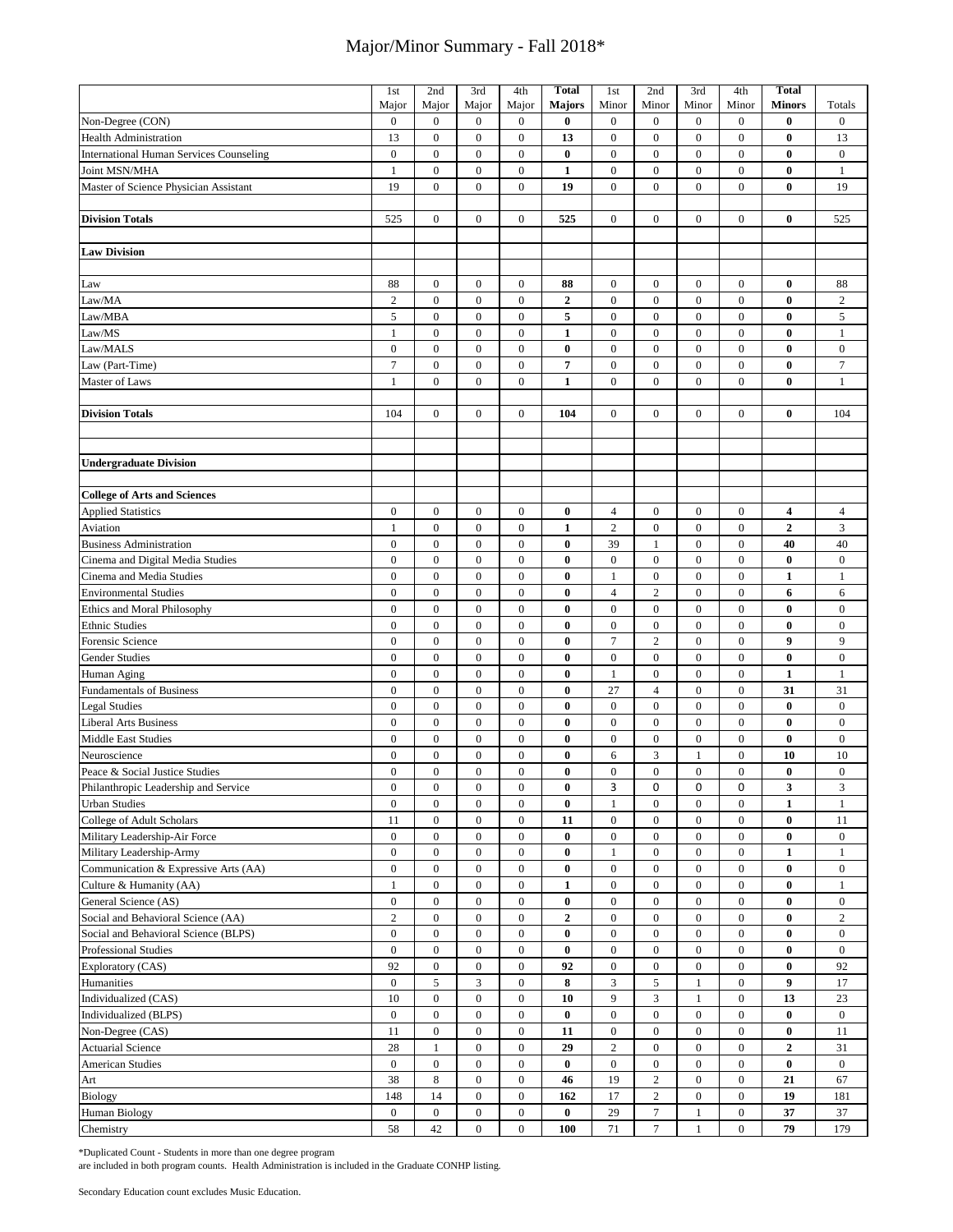|                                                          | 1st                                  | 2nd                                  | 3rd                                  | 4th                                  | <b>Total</b>         | 1st                                | 2nd                                | 3rd                              | 4th                        | <b>Total</b>                 |                       |
|----------------------------------------------------------|--------------------------------------|--------------------------------------|--------------------------------------|--------------------------------------|----------------------|------------------------------------|------------------------------------|----------------------------------|----------------------------|------------------------------|-----------------------|
|                                                          | Major                                | Major                                | Major                                | Major                                | <b>Majors</b>        | Minor                              | Minor                              | Minor                            | Minor                      | <b>Minors</b>                | Totals                |
| Non-Degree (CON)                                         | $\boldsymbol{0}$                     | $\boldsymbol{0}$                     | $\boldsymbol{0}$                     | $\boldsymbol{0}$                     | $\bf{0}$             | $\mathbf{0}$                       | $\mathbf{0}$                       | $\mathbf{0}$                     | $\mathbf{0}$               | $\bf{0}$                     | $\bf{0}$              |
| <b>Health Administration</b>                             | 13                                   | $\boldsymbol{0}$                     | $\boldsymbol{0}$                     | $\boldsymbol{0}$                     | 13                   | $\boldsymbol{0}$                   | $\mathbf{0}$                       | $\mathbf{0}$                     | $\mathbf{0}$               | $\bf{0}$                     | 13                    |
| <b>International Human Services Counseling</b>           | $\boldsymbol{0}$                     | $\boldsymbol{0}$                     | $\boldsymbol{0}$                     | $\boldsymbol{0}$                     | $\bf{0}$             | $\boldsymbol{0}$                   | $\boldsymbol{0}$                   | $\boldsymbol{0}$                 | $\boldsymbol{0}$           | $\bf{0}$                     | $\bf{0}$              |
| Joint MSN/MHA                                            | $\mathbf{1}$                         | $\boldsymbol{0}$                     | $\boldsymbol{0}$                     | $\boldsymbol{0}$                     | $\mathbf{1}$         | $\boldsymbol{0}$                   | $\boldsymbol{0}$                   | $\boldsymbol{0}$                 | $\mathbf{0}$               | $\bf{0}$                     | $\mathbf{1}$          |
| Master of Science Physician Assistant                    | 19                                   | $\boldsymbol{0}$                     | $\boldsymbol{0}$                     | $\boldsymbol{0}$                     | 19                   | $\boldsymbol{0}$                   | $\mathbf{0}$                       | $\mathbf{0}$                     | $\overline{0}$             | $\bf{0}$                     | 19                    |
|                                                          |                                      |                                      |                                      |                                      |                      |                                    |                                    |                                  |                            |                              |                       |
| <b>Division Totals</b>                                   | 525                                  | $\boldsymbol{0}$                     | $\boldsymbol{0}$                     | $\boldsymbol{0}$                     | 525                  | $\boldsymbol{0}$                   | $\mathbf{0}$                       | $\mathbf{0}$                     | $\overline{0}$             | $\bf{0}$                     | 525                   |
|                                                          |                                      |                                      |                                      |                                      |                      |                                    |                                    |                                  |                            |                              |                       |
| <b>Law Division</b>                                      |                                      |                                      |                                      |                                      |                      |                                    |                                    |                                  |                            |                              |                       |
|                                                          |                                      |                                      |                                      |                                      |                      |                                    |                                    |                                  |                            |                              |                       |
| Law                                                      | 88                                   | $\mathbf{0}$                         | $\boldsymbol{0}$                     | $\boldsymbol{0}$                     | 88                   | $\mathbf{0}$                       | $\mathbf{0}$                       | $\mathbf{0}$                     | 0                          | $\bf{0}$                     | 88                    |
| Law/MA                                                   | $\sqrt{2}$                           | $\boldsymbol{0}$                     | $\boldsymbol{0}$                     | $\boldsymbol{0}$                     | $\boldsymbol{2}$     | $\boldsymbol{0}$                   | $\boldsymbol{0}$                   | $\boldsymbol{0}$                 | $\boldsymbol{0}$           | $\bf{0}$                     | $\sqrt{2}$            |
| Law/MBA                                                  | 5                                    | $\boldsymbol{0}$                     | $\boldsymbol{0}$                     | $\boldsymbol{0}$                     | 5                    | $\boldsymbol{0}$                   | $\boldsymbol{0}$                   | $\boldsymbol{0}$                 | $\boldsymbol{0}$           | $\bf{0}$                     | 5                     |
| Law/MS                                                   | $\mathbf{1}$                         | $\boldsymbol{0}$                     | $\boldsymbol{0}$                     | $\boldsymbol{0}$                     | $\mathbf 1$          | $\boldsymbol{0}$                   | $\boldsymbol{0}$                   | $\boldsymbol{0}$                 | $\boldsymbol{0}$           | $\bf{0}$                     | $\mathbf{1}$          |
| Law/MALS                                                 | $\boldsymbol{0}$                     | $\boldsymbol{0}$                     | $\boldsymbol{0}$                     | $\boldsymbol{0}$                     | $\bf{0}$             | $\boldsymbol{0}$                   | $\boldsymbol{0}$                   | $\boldsymbol{0}$                 | $\boldsymbol{0}$           | $\bf{0}$                     | $\bf{0}$              |
| Law (Part-Time)                                          | $\overline{7}$                       | $\boldsymbol{0}$                     | $\boldsymbol{0}$                     | $\boldsymbol{0}$                     | 7                    | $\boldsymbol{0}$                   | $\mathbf{0}$                       | $\boldsymbol{0}$                 | $\bf{0}$                   | $\bf{0}$                     | $\boldsymbol{7}$      |
| Master of Laws                                           | $\mathbf{1}$                         | $\overline{0}$                       | $\overline{0}$                       | $\overline{0}$                       | $\mathbf{1}$         | $\mathbf{0}$                       | $\mathbf{0}$                       | $\mathbf{0}$                     | $\overline{0}$             | $\mathbf{0}$                 | $\mathbf{1}$          |
|                                                          |                                      |                                      |                                      |                                      |                      |                                    |                                    |                                  |                            |                              |                       |
| <b>Division Totals</b>                                   | 104                                  | $\boldsymbol{0}$                     | $\boldsymbol{0}$                     | $\boldsymbol{0}$                     | 104                  | $\mathbf{0}$                       | $\mathbf{0}$                       | $\mathbf{0}$                     | $\overline{0}$             | $\bf{0}$                     | 104                   |
|                                                          |                                      |                                      |                                      |                                      |                      |                                    |                                    |                                  |                            |                              |                       |
|                                                          |                                      |                                      |                                      |                                      |                      |                                    |                                    |                                  |                            |                              |                       |
| <b>Undergraduate Division</b>                            |                                      |                                      |                                      |                                      |                      |                                    |                                    |                                  |                            |                              |                       |
|                                                          |                                      |                                      |                                      |                                      |                      |                                    |                                    |                                  |                            |                              |                       |
| <b>College of Arts and Sciences</b>                      |                                      |                                      |                                      |                                      |                      |                                    |                                    |                                  |                            |                              |                       |
| <b>Applied Statistics</b>                                | $\boldsymbol{0}$                     | $\mathbf{0}$                         | $\boldsymbol{0}$                     | $\boldsymbol{0}$                     | $\bf{0}$             | $\overline{4}$                     | $\mathbf{0}$                       | $\mathbf{0}$                     | $\overline{0}$             | 4                            | 4                     |
| Aviation                                                 | $\mathbf{1}$                         | $\boldsymbol{0}$                     | $\boldsymbol{0}$                     | $\boldsymbol{0}$                     | $\mathbf{1}$         | $\overline{c}$                     | $\boldsymbol{0}$                   | $\boldsymbol{0}$                 | $\boldsymbol{0}$           | $\boldsymbol{2}$             | 3                     |
| <b>Business Administration</b>                           | $\boldsymbol{0}$                     | $\boldsymbol{0}$                     | $\boldsymbol{0}$                     | $\boldsymbol{0}$                     | $\bf{0}$             | 39                                 | 1                                  | $\mathbf{0}$                     | $\mathbf{0}$               | 40                           | 40                    |
| Cinema and Digital Media Studies                         | $\mathbf{0}$                         | $\boldsymbol{0}$                     | $\boldsymbol{0}$                     | $\boldsymbol{0}$                     | $\bf{0}$             | $\boldsymbol{0}$                   | $\mathbf{0}$                       | $\mathbf{0}$                     | $\mathbf{0}$               | $\bf{0}$                     | $\bf{0}$              |
|                                                          | $\boldsymbol{0}$                     | $\boldsymbol{0}$                     | $\boldsymbol{0}$                     | $\boldsymbol{0}$                     | $\bf{0}$             | $\mathbf{1}$                       | $\boldsymbol{0}$                   | $\boldsymbol{0}$                 | $\mathbf{0}$               | $\mathbf{1}$                 | $\mathbf{1}$          |
| Cinema and Media Studies<br><b>Environmental Studies</b> | $\boldsymbol{0}$                     | $\boldsymbol{0}$                     | $\boldsymbol{0}$                     | $\boldsymbol{0}$                     | $\bf{0}$             | $\overline{4}$                     | $\overline{2}$                     | $\boldsymbol{0}$                 | $\boldsymbol{0}$           | 6                            |                       |
|                                                          |                                      | $\boldsymbol{0}$                     | $\boldsymbol{0}$                     |                                      |                      |                                    |                                    |                                  | $\mathbf{0}$               | $\bf{0}$                     | 6                     |
| <b>Ethics and Moral Philosophy</b>                       | $\boldsymbol{0}$                     |                                      |                                      | $\boldsymbol{0}$                     | $\bf{0}$             | $\boldsymbol{0}$                   | $\boldsymbol{0}$                   | $\boldsymbol{0}$                 |                            |                              | $\bf{0}$              |
| <b>Ethnic Studies</b>                                    | $\boldsymbol{0}$<br>$\boldsymbol{0}$ | $\boldsymbol{0}$<br>$\boldsymbol{0}$ | $\boldsymbol{0}$<br>$\boldsymbol{0}$ | $\boldsymbol{0}$<br>$\boldsymbol{0}$ | $\bf{0}$<br>$\bf{0}$ | $\boldsymbol{0}$<br>$\overline{7}$ | $\boldsymbol{0}$<br>$\overline{2}$ | $\boldsymbol{0}$<br>$\mathbf{0}$ | $\bf{0}$<br>$\overline{0}$ | $\bf{0}$<br>$\boldsymbol{9}$ | $\boldsymbol{0}$<br>9 |
| Forensic Science                                         | $\boldsymbol{0}$                     | $\boldsymbol{0}$                     |                                      |                                      |                      |                                    |                                    | $\mathbf{0}$                     | $\overline{0}$             |                              |                       |
| Gender Studies                                           |                                      |                                      | $\boldsymbol{0}$                     | $\boldsymbol{0}$                     | $\bf{0}$             | $\boldsymbol{0}$                   | $\boldsymbol{0}$                   |                                  |                            | $\bf{0}$                     | $\bf{0}$              |
| Human Aging                                              | $\boldsymbol{0}$                     | $\boldsymbol{0}$                     | $\boldsymbol{0}$                     | $\boldsymbol{0}$                     | $\bf{0}$             | $\mathbf{1}$                       | $\boldsymbol{0}$                   | $\boldsymbol{0}$                 | $\boldsymbol{0}$           | $\mathbf{1}$                 | $\mathbf{1}$          |
| <b>Fundamentals of Business</b>                          | $\boldsymbol{0}$                     | $\boldsymbol{0}$                     | $\boldsymbol{0}$                     | $\boldsymbol{0}$                     | $\bf{0}$             | 27                                 | $\overline{4}$                     | $\boldsymbol{0}$                 | $\boldsymbol{0}$           | 31                           | 31                    |
| <b>Legal Studies</b>                                     | $\boldsymbol{0}$                     | $\boldsymbol{0}$                     | $\boldsymbol{0}$                     | $\boldsymbol{0}$                     | $\bf{0}$             | $\boldsymbol{0}$                   | $\boldsymbol{0}$                   | $\boldsymbol{0}$                 | $\boldsymbol{0}$           | $\bf{0}$                     | $\bf{0}$              |
| <b>Liberal Arts Business</b>                             | $\boldsymbol{0}$                     | $\boldsymbol{0}$                     | $\boldsymbol{0}$                     | $\boldsymbol{0}$                     | $\bf{0}$             | $\boldsymbol{0}$                   | $\mathbf{0}$                       | $\mathbf{0}$                     | $\boldsymbol{0}$           | $\bf{0}$                     | $\boldsymbol{0}$      |
| <b>Middle East Studies</b>                               | $\boldsymbol{0}$                     | $\boldsymbol{0}$                     | $\boldsymbol{0}$                     | $\boldsymbol{0}$                     | $\bf{0}$             | $\boldsymbol{0}$                   | $\boldsymbol{0}$                   | $\boldsymbol{0}$                 | $\mathbf{0}$               | $\bf{0}$                     | $\bf{0}$              |
| Neuroscience                                             | $\boldsymbol{0}$                     | $\boldsymbol{0}$                     | $\boldsymbol{0}$                     | $\boldsymbol{0}$                     | $\bf{0}$             | 6                                  | 3                                  | $\mathbf{1}$                     | $\overline{0}$             | 10                           | 10                    |
| Peace & Social Justice Studies                           | $\boldsymbol{0}$                     | $\boldsymbol{0}$                     | $\boldsymbol{0}$                     | $\boldsymbol{0}$                     | $\bf{0}$             | $\boldsymbol{0}$                   | $\boldsymbol{0}$                   | $\boldsymbol{0}$                 | $\mathbf{0}$               | $\bf{0}$                     | $\bf{0}$              |
| Philanthropic Leadership and Service                     | $\boldsymbol{0}$                     | $\boldsymbol{0}$                     | $\boldsymbol{0}$                     | $\boldsymbol{0}$                     | 0                    | 3                                  | 0                                  | 0                                | 0                          | 3                            | 3                     |
| <b>Urban Studies</b>                                     | $\boldsymbol{0}$                     | $\boldsymbol{0}$                     | $\boldsymbol{0}$                     | $\boldsymbol{0}$                     | $\bf{0}$             | $\mathbf{1}$                       | $\boldsymbol{0}$                   | $\boldsymbol{0}$                 | $\bf{0}$                   | $\mathbf{1}$                 | $\mathbf{1}$          |
| College of Adult Scholars                                | 11                                   | $\boldsymbol{0}$                     | $\boldsymbol{0}$                     | $\boldsymbol{0}$                     | 11                   | $\boldsymbol{0}$                   | $\boldsymbol{0}$                   | $\boldsymbol{0}$                 | $\boldsymbol{0}$           | $\bf{0}$                     | 11                    |
| Military Leadership-Air Force                            | $\boldsymbol{0}$                     | $\boldsymbol{0}$                     | $\boldsymbol{0}$                     | $\boldsymbol{0}$                     | $\bf{0}$             | $\boldsymbol{0}$                   | $\boldsymbol{0}$                   | $\boldsymbol{0}$                 | $\bf{0}$                   | $\bf{0}$                     | $\bf{0}$              |
| Military Leadership-Army                                 | $\boldsymbol{0}$                     | $\boldsymbol{0}$                     | $\boldsymbol{0}$                     | $\boldsymbol{0}$                     | $\bf{0}$             | $\mathbf{1}$                       | $\boldsymbol{0}$                   | $\boldsymbol{0}$                 | $\overline{0}$             | $\mathbf{1}$                 | $\mathbf{1}$          |
| Communication & Expressive Arts (AA)                     | $\boldsymbol{0}$                     | $\boldsymbol{0}$                     | $\boldsymbol{0}$                     | $\boldsymbol{0}$                     | $\bf{0}$             | $\boldsymbol{0}$                   | $\boldsymbol{0}$                   | $\boldsymbol{0}$                 | $\bf{0}$                   | $\bf{0}$                     | $\bf{0}$              |
| Culture & Humanity (AA)                                  | $\mathbf{1}$                         | $\boldsymbol{0}$                     | $\boldsymbol{0}$                     | $\boldsymbol{0}$                     | $\mathbf 1$          | $\boldsymbol{0}$                   | $\boldsymbol{0}$                   | $\boldsymbol{0}$                 | $\boldsymbol{0}$           | $\bf{0}$                     | $\mathbf{1}$          |
| General Science (AS)                                     | $\boldsymbol{0}$                     | $\boldsymbol{0}$                     | $\boldsymbol{0}$                     | $\boldsymbol{0}$                     | $\bf{0}$             | $\boldsymbol{0}$                   | $\mathbf{0}$                       | $\boldsymbol{0}$                 | $\overline{0}$             | $\bf{0}$                     | $\bf{0}$              |
| Social and Behavioral Science (AA)                       | $\sqrt{2}$                           | $\boldsymbol{0}$                     | $\overline{0}$                       | $\boldsymbol{0}$                     | $\boldsymbol{2}$     | $\boldsymbol{0}$                   | $\boldsymbol{0}$                   | $\boldsymbol{0}$                 | $\overline{0}$             | $\bf{0}$                     | $\boldsymbol{2}$      |
| Social and Behavioral Science (BLPS)                     | $\boldsymbol{0}$                     | $\boldsymbol{0}$                     | $\boldsymbol{0}$                     | $\boldsymbol{0}$                     | $\bf{0}$             | $\boldsymbol{0}$                   | $\boldsymbol{0}$                   | $\mathbf{0}$                     | $\overline{0}$             | $\bf{0}$                     | $\overline{0}$        |
| Professional Studies                                     | $\boldsymbol{0}$                     | $\boldsymbol{0}$                     | $\boldsymbol{0}$                     | $\boldsymbol{0}$                     | $\bf{0}$             | $\boldsymbol{0}$                   | $\boldsymbol{0}$                   | $\boldsymbol{0}$                 | $\boldsymbol{0}$           | $\bf{0}$                     | $\boldsymbol{0}$      |
| Exploratory (CAS)                                        | 92                                   | $\boldsymbol{0}$                     | $\mathbf{0}$                         | $\bf{0}$                             | 92                   | $\boldsymbol{0}$                   | $\mathbf{0}$                       | $\boldsymbol{0}$                 | $\bf{0}$                   | $\bf{0}$                     | 92                    |
| Humanities                                               | $\boldsymbol{0}$                     | 5                                    | 3                                    | $\boldsymbol{0}$                     | 8                    | 3                                  | $\sqrt{5}$                         | 1                                | $\mathbf{0}$               | 9                            | 17                    |
| Individualized (CAS)                                     | 10                                   | $\boldsymbol{0}$                     | $\mathbf{0}$                         | $\boldsymbol{0}$                     | 10                   | 9                                  | 3                                  | $\mathbf{1}$                     | $\bf{0}$                   | 13                           | 23                    |
| Individualized (BLPS)                                    | $\boldsymbol{0}$                     | $\boldsymbol{0}$                     | $\boldsymbol{0}$                     | $\boldsymbol{0}$                     | $\bf{0}$             | $\boldsymbol{0}$                   | $\boldsymbol{0}$                   | $\boldsymbol{0}$                 | $\bf{0}$                   | $\bf{0}$                     | $\bf{0}$              |
| Non-Degree (CAS)                                         | $11\,$                               | $\boldsymbol{0}$                     | $\boldsymbol{0}$                     | $\boldsymbol{0}$                     | 11                   | $\boldsymbol{0}$                   | $\mathbf{0}$                       | $\boldsymbol{0}$                 | $\bf{0}$                   | $\bf{0}$                     | 11                    |
| <b>Actuarial Science</b>                                 | 28                                   | $\mathbf{1}$                         | $\boldsymbol{0}$                     | $\boldsymbol{0}$                     | 29                   | $\boldsymbol{2}$                   | $\boldsymbol{0}$                   | $\boldsymbol{0}$                 | $\bf{0}$                   | $\boldsymbol{2}$             | 31                    |
| <b>American Studies</b>                                  | $\boldsymbol{0}$                     | $\boldsymbol{0}$                     | $\mathbf{0}$                         | $\boldsymbol{0}$                     | $\bf{0}$             | $\boldsymbol{0}$                   | $\mathbf{0}$                       | $\mathbf{0}$                     | $\overline{0}$             | $\bf{0}$                     | $\bf{0}$              |
| Art                                                      | 38                                   | $\,8\,$                              | $\boldsymbol{0}$                     | $\boldsymbol{0}$                     | 46                   | 19                                 | $\overline{2}$                     | $\boldsymbol{0}$                 | $\boldsymbol{0}$           | 21                           | 67                    |
| Biology                                                  | 148                                  | 14                                   | $\overline{0}$                       | $\overline{0}$                       | 162                  | 17                                 | $\overline{c}$                     | $\bf{0}$                         | $\overline{0}$             | 19                           | 181                   |
| <b>Human Biology</b>                                     | $\boldsymbol{0}$                     | $\boldsymbol{0}$                     | $\mathbf{0}$                         | $\boldsymbol{0}$                     | $\bf{0}$             | 29                                 | $\tau$                             | $\mathbf{1}$                     | $\boldsymbol{0}$           | 37                           | 37                    |
| Chemistry                                                | 58                                   | 42                                   | $\boldsymbol{0}$                     | $\boldsymbol{0}$                     | 100                  | 71                                 | $\overline{7}$                     | $\mathbf{1}$                     | $\bf{0}$                   | 79                           | 179                   |

\*Duplicated Count - Students in more than one degree program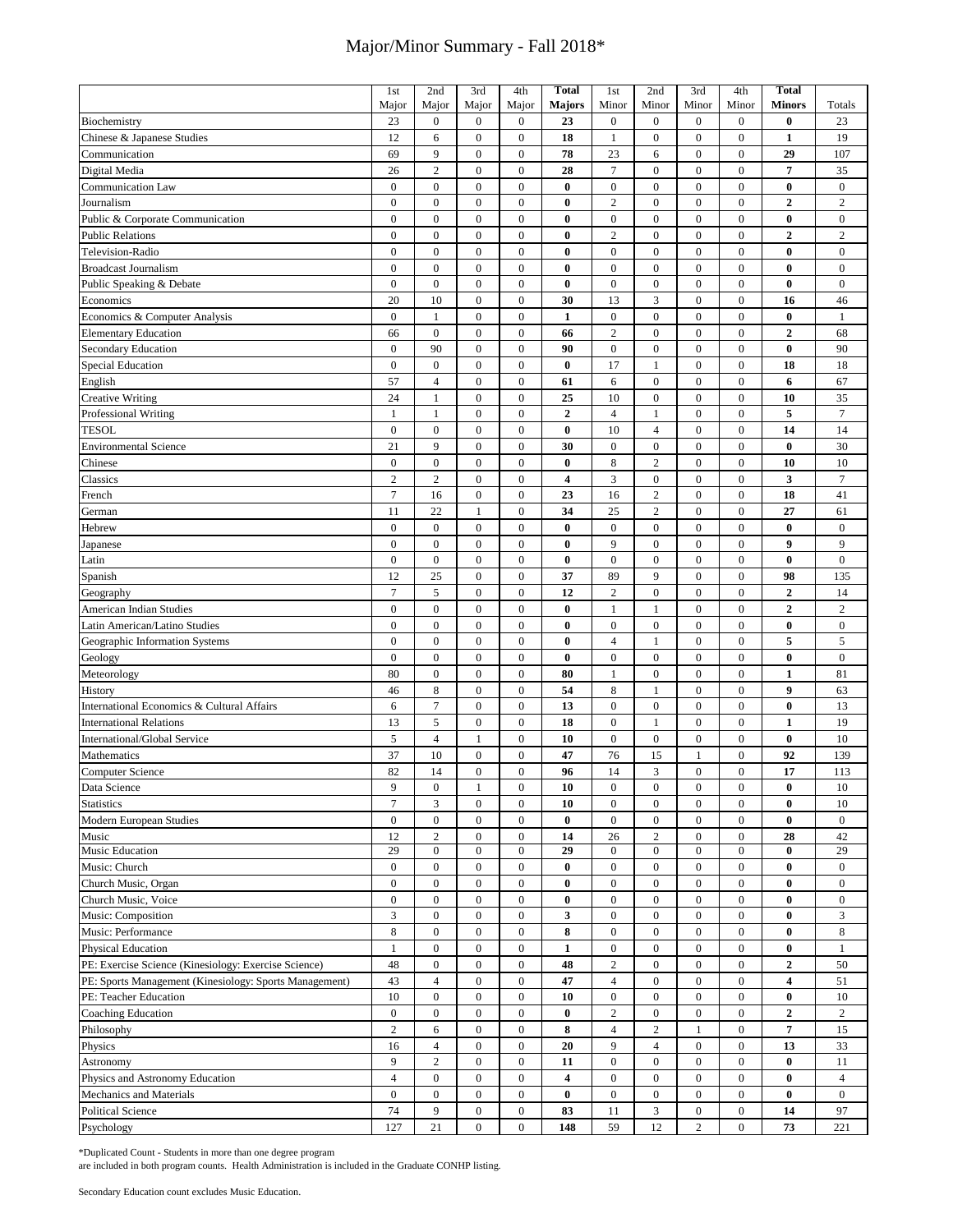|                                                        | 1 <sub>st</sub>  | 2nd                                | 3rd              | 4th                                  | <b>Total</b>            | 1st                    | 2nd              | 3rd                                  | 4th                              | <b>Total</b>     |                  |
|--------------------------------------------------------|------------------|------------------------------------|------------------|--------------------------------------|-------------------------|------------------------|------------------|--------------------------------------|----------------------------------|------------------|------------------|
|                                                        | Major            | Major                              | Major            | Major                                | <b>Majors</b>           | Minor                  | Minor            | Minor                                | Minor                            | <b>Minors</b>    | Totals           |
| Biochemistry                                           | 23               | $\boldsymbol{0}$                   | $\boldsymbol{0}$ | $\boldsymbol{0}$                     | 23                      | $\boldsymbol{0}$       | $\boldsymbol{0}$ | $\boldsymbol{0}$                     | $\boldsymbol{0}$                 | $\bf{0}$         | 23               |
| Chinese & Japanese Studies                             | 12               | 6                                  | $\boldsymbol{0}$ | $\boldsymbol{0}$                     | 18                      | $\mathbf{1}$           | $\boldsymbol{0}$ | $\overline{0}$                       | $\mathbf{0}$                     | $\mathbf{1}$     | 19               |
| Communication                                          | 69               | 9                                  | $\boldsymbol{0}$ | $\boldsymbol{0}$                     | 78                      | 23                     | 6                | $\boldsymbol{0}$                     | $\boldsymbol{0}$                 | 29               | 107              |
|                                                        | 26               | $\overline{c}$                     | $\boldsymbol{0}$ | $\mathbf{0}$                         | 28                      | $\overline{7}$         | $\boldsymbol{0}$ | $\overline{0}$                       | $\mathbf{0}$                     | $\overline{7}$   | 35               |
| Digital Media                                          |                  |                                    |                  |                                      |                         |                        |                  |                                      |                                  |                  |                  |
| Communication Law                                      | $\boldsymbol{0}$ | $\boldsymbol{0}$                   | $\boldsymbol{0}$ | $\boldsymbol{0}$                     | $\bf{0}$                | $\boldsymbol{0}$       | $\boldsymbol{0}$ | $\boldsymbol{0}$                     | $\boldsymbol{0}$                 | $\bf{0}$         | $\bf{0}$         |
| Journalism                                             | $\overline{0}$   | $\overline{0}$                     | $\boldsymbol{0}$ | $\boldsymbol{0}$                     | $\bf{0}$                | $\overline{c}$         | $\boldsymbol{0}$ | $\overline{0}$                       | $\mathbf{0}$                     | $\overline{2}$   | $\overline{2}$   |
| Public & Corporate Communication                       | $\mathbf{0}$     | $\boldsymbol{0}$                   | $\boldsymbol{0}$ | $\boldsymbol{0}$                     | $\bf{0}$                | $\boldsymbol{0}$       | $\boldsymbol{0}$ | $\boldsymbol{0}$                     | $\boldsymbol{0}$                 | $\bf{0}$         | $\bf{0}$         |
| <b>Public Relations</b>                                | $\mathbf{0}$     | $\overline{0}$                     | $\boldsymbol{0}$ | $\boldsymbol{0}$                     | $\bf{0}$                | $\sqrt{2}$             | $\boldsymbol{0}$ | $\boldsymbol{0}$                     | $\mathbf{0}$                     | $\boldsymbol{2}$ | $\sqrt{2}$       |
| Television-Radio                                       | $\mathbf{0}$     | $\overline{0}$                     | $\boldsymbol{0}$ | $\boldsymbol{0}$                     | $\bf{0}$                | $\boldsymbol{0}$       | $\boldsymbol{0}$ | $\mathbf{0}$                         | $\mathbf{0}$                     | $\bf{0}$         | $\mathbf{0}$     |
| <b>Broadcast Journalism</b>                            | $\overline{0}$   | $\overline{0}$                     | $\mathbf{0}$     | $\boldsymbol{0}$                     | $\bf{0}$                | $\boldsymbol{0}$       | $\mathbf{0}$     | $\overline{0}$                       | $\mathbf{0}$                     | $\bf{0}$         | $\mathbf{0}$     |
| Public Speaking & Debate                               | $\boldsymbol{0}$ | $\boldsymbol{0}$                   | $\boldsymbol{0}$ | $\boldsymbol{0}$                     | $\bf{0}$                | $\boldsymbol{0}$       | $\boldsymbol{0}$ | $\boldsymbol{0}$                     | $\boldsymbol{0}$                 | $\bf{0}$         | $\bf{0}$         |
| Economics                                              | 20               | 10                                 | $\boldsymbol{0}$ | $\boldsymbol{0}$                     | 30                      | 13                     | 3                | $\overline{0}$                       | $\mathbf{0}$                     | 16               | 46               |
| Economics & Computer Analysis                          | $\mathbf{0}$     | 1                                  | $\mathbf{0}$     | $\boldsymbol{0}$                     | $\mathbf{1}$            | $\boldsymbol{0}$       | $\mathbf{0}$     | $\mathbf{0}$                         | $\mathbf{0}$                     | $\bf{0}$         | $\mathbf{1}$     |
| <b>Elementary Education</b>                            | 66               | $\boldsymbol{0}$                   | $\boldsymbol{0}$ | $\boldsymbol{0}$                     | 66                      | $\overline{2}$         | $\boldsymbol{0}$ | $\overline{0}$                       | $\mathbf{0}$                     | $\mathbf{2}$     | 68               |
| Secondary Education                                    | $\mathbf{0}$     | 90                                 | $\boldsymbol{0}$ | $\boldsymbol{0}$                     | 90                      | $\boldsymbol{0}$       | $\boldsymbol{0}$ | $\boldsymbol{0}$                     | $\boldsymbol{0}$                 | $\bf{0}$         | 90               |
| <b>Special Education</b>                               | $\mathbf{0}$     | $\boldsymbol{0}$                   | $\boldsymbol{0}$ | $\boldsymbol{0}$                     | $\bf{0}$                | 17                     | 1                | $\mathbf{0}$                         | $\boldsymbol{0}$                 | 18               | 18               |
|                                                        | 57               | $\overline{4}$                     | $\boldsymbol{0}$ | $\boldsymbol{0}$                     | 61                      | 6                      | $\boldsymbol{0}$ | $\boldsymbol{0}$                     | $\boldsymbol{0}$                 | 6                | 67               |
| English                                                |                  |                                    |                  |                                      |                         |                        |                  |                                      |                                  |                  |                  |
| <b>Creative Writing</b>                                | 24               | $\mathbf{1}$                       | $\boldsymbol{0}$ | $\boldsymbol{0}$                     | 25                      | 10                     | $\boldsymbol{0}$ | $\boldsymbol{0}$                     | $\boldsymbol{0}$                 | 10               | 35               |
| Professional Writing                                   | 1                | $\mathbf{1}$                       | $\boldsymbol{0}$ | $\boldsymbol{0}$                     | $\boldsymbol{2}$        | $\overline{4}$         | $\mathbf{1}$     | $\boldsymbol{0}$                     | $\boldsymbol{0}$                 | 5                | $\overline{7}$   |
| <b>TESOL</b>                                           | $\boldsymbol{0}$ | $\boldsymbol{0}$                   | $\boldsymbol{0}$ | $\boldsymbol{0}$                     | $\bf{0}$                | 10                     | $\overline{4}$   | $\boldsymbol{0}$                     | $\boldsymbol{0}$                 | 14               | 14               |
| <b>Environmental Science</b>                           | 21               | 9                                  | $\boldsymbol{0}$ | $\boldsymbol{0}$                     | 30                      | $\boldsymbol{0}$       | $\boldsymbol{0}$ | $\boldsymbol{0}$                     | $\boldsymbol{0}$                 | $\bf{0}$         | 30               |
| Chinese                                                | $\overline{0}$   | $\boldsymbol{0}$                   | $\boldsymbol{0}$ | $\boldsymbol{0}$                     | $\bf{0}$                | $\,8\,$                | $\overline{2}$   | $\mathbf{0}$                         | $\boldsymbol{0}$                 | 10               | 10               |
| Classics                                               | $\overline{c}$   | $\overline{c}$                     | $\boldsymbol{0}$ | $\boldsymbol{0}$                     | $\overline{\mathbf{4}}$ | 3                      | $\boldsymbol{0}$ | $\boldsymbol{0}$                     | $\boldsymbol{0}$                 | 3                | $\overline{7}$   |
| French                                                 | $\tau$           | 16                                 | $\boldsymbol{0}$ | $\boldsymbol{0}$                     | 23                      | 16                     | $\overline{c}$   | $\mathbf{0}$                         | $\boldsymbol{0}$                 | 18               | 41               |
| German                                                 | 11               | 22                                 | 1                | $\boldsymbol{0}$                     | 34                      | 25                     | $\sqrt{2}$       | $\boldsymbol{0}$                     | $\boldsymbol{0}$                 | 27               | 61               |
| Hebrew                                                 | $\boldsymbol{0}$ | $\boldsymbol{0}$                   | $\boldsymbol{0}$ | $\boldsymbol{0}$                     | $\bf{0}$                | $\boldsymbol{0}$       | $\boldsymbol{0}$ | $\boldsymbol{0}$                     | $\boldsymbol{0}$                 | $\bf{0}$         | $\boldsymbol{0}$ |
| Japanese                                               | $\mathbf{0}$     | $\boldsymbol{0}$                   | $\boldsymbol{0}$ | $\boldsymbol{0}$                     | $\bf{0}$                | 9                      | $\boldsymbol{0}$ | $\overline{0}$                       | $\mathbf{0}$                     | 9                | 9                |
| Latin                                                  | $\boldsymbol{0}$ | $\boldsymbol{0}$                   | $\boldsymbol{0}$ | $\boldsymbol{0}$                     | $\bf{0}$                | $\boldsymbol{0}$       | $\boldsymbol{0}$ | $\boldsymbol{0}$                     | $\boldsymbol{0}$                 | $\bf{0}$         | $\bf{0}$         |
| Spanish                                                | 12               | 25                                 | $\boldsymbol{0}$ | $\boldsymbol{0}$                     | 37                      | 89                     | 9                | $\boldsymbol{0}$                     | $\boldsymbol{0}$                 | 98               | 135              |
|                                                        | $\overline{7}$   | 5                                  | $\boldsymbol{0}$ | $\boldsymbol{0}$                     |                         | $\sqrt{2}$             | $\boldsymbol{0}$ | $\boldsymbol{0}$                     |                                  | $\overline{2}$   |                  |
| Geography                                              |                  |                                    |                  |                                      | 12                      |                        |                  |                                      | $\boldsymbol{0}$                 |                  | 14               |
| American Indian Studies                                | $\overline{0}$   | $\overline{0}$                     | $\mathbf{0}$     | $\mathbf{0}$                         | $\bf{0}$                | 1                      | $\mathbf{1}$     | $\overline{0}$                       | $\boldsymbol{0}$                 | $\boldsymbol{2}$ | $\sqrt{2}$       |
| Latin American/Latino Studies                          | $\mathbf{0}$     | $\boldsymbol{0}$                   | $\boldsymbol{0}$ | $\boldsymbol{0}$                     | $\bf{0}$                | $\boldsymbol{0}$       | $\boldsymbol{0}$ | $\boldsymbol{0}$                     | $\boldsymbol{0}$                 | $\bf{0}$         | $\bf{0}$         |
| Geographic Information Systems                         | $\mathbf{0}$     | $\overline{0}$                     | $\boldsymbol{0}$ | $\boldsymbol{0}$                     | $\bf{0}$                | $\overline{4}$         | $\mathbf{1}$     | $\overline{0}$                       | $\mathbf{0}$                     | 5                | 5                |
| Geology                                                | $\mathbf{0}$     | $\overline{0}$                     | $\boldsymbol{0}$ | $\boldsymbol{0}$                     | $\bf{0}$                | $\boldsymbol{0}$       | $\boldsymbol{0}$ | $\boldsymbol{0}$                     | $\mathbf{0}$                     | $\bf{0}$         | $\mathbf{0}$     |
| Meteorology                                            | 80               | $\overline{0}$                     | $\boldsymbol{0}$ | $\mathbf{0}$                         | 80                      | $\mathbf{1}$           | $\boldsymbol{0}$ | $\overline{0}$                       | $\mathbf{0}$                     | 1                | 81               |
| History                                                | 46               | 8                                  | $\boldsymbol{0}$ | $\boldsymbol{0}$                     | 54                      | 8                      | $\mathbf{1}$     | $\mathbf{0}$                         | $\mathbf{0}$                     | 9                | 63               |
| International Economics & Cultural Affairs             | 6                | $\tau$                             | $\boldsymbol{0}$ | $\boldsymbol{0}$                     | 13                      | $\boldsymbol{0}$       | $\boldsymbol{0}$ | $\boldsymbol{0}$                     | $\mathbf{0}$                     | $\bf{0}$         | 13               |
| <b>International Relations</b>                         | 13               | 5                                  | $\boldsymbol{0}$ | $\boldsymbol{0}$                     | 18                      | $\boldsymbol{0}$       | $\mathbf{1}$     | $\boldsymbol{0}$                     | $\boldsymbol{0}$                 | $\mathbf{1}$     | 19               |
| International/Global Service                           | 5                | 4                                  | 1                | $\boldsymbol{0}$                     | 10                      | $\boldsymbol{0}$       | $\boldsymbol{0}$ | $\overline{0}$                       | $\mathbf{0}$                     | $\bf{0}$         | 10               |
| Mathematics                                            | 37               | 10                                 | $\boldsymbol{0}$ | $\boldsymbol{0}$                     | 47                      | 76                     | 15               | 1                                    | $\mathbf{0}$                     | 92               | 139              |
| Computer Science                                       | 82               | 14                                 | $\mathbf{0}$     | $\boldsymbol{0}$                     | 96                      | 14                     | 3                | $\mathbf{0}$                         | $\mathbf{0}$                     | 17               | 113              |
| Data Science                                           | 9                | $\boldsymbol{0}$                   | $\mathbf{1}$     | $\boldsymbol{0}$                     | 10                      | $\boldsymbol{0}$       | $\boldsymbol{0}$ | $\boldsymbol{0}$                     | $\bf{0}$                         | $\bf{0}$         | 10               |
| <b>Statistics</b>                                      | $\overline{7}$   | 3                                  | $\boldsymbol{0}$ | $\boldsymbol{0}$                     | 10                      | $\boldsymbol{0}$       | $\boldsymbol{0}$ | $\boldsymbol{0}$                     | $\boldsymbol{0}$                 | $\bf{0}$         | 10               |
|                                                        | $\bf{0}$         | $\overline{0}$                     | $\boldsymbol{0}$ | $\boldsymbol{0}$                     | $\bf{0}$                | $\boldsymbol{0}$       | $\boldsymbol{0}$ | $\mathbf{0}$                         | $\bf{0}$                         | $\bf{0}$         | $\boldsymbol{0}$ |
| Modern European Studies                                | 12               |                                    | $\boldsymbol{0}$ |                                      | 14                      |                        | $\mathbf{2}$     |                                      |                                  |                  |                  |
| Music<br>Music Education                               | 29               | $\overline{c}$<br>$\boldsymbol{0}$ | $\boldsymbol{0}$ | $\boldsymbol{0}$<br>$\boldsymbol{0}$ | 29                      | 26<br>$\boldsymbol{0}$ | $\boldsymbol{0}$ | $\boldsymbol{0}$<br>$\boldsymbol{0}$ | $\boldsymbol{0}$<br>$\mathbf{0}$ | 28<br>$\bf{0}$   | 42<br>29         |
| Music: Church                                          | $\bf{0}$         | $\overline{0}$                     | $\boldsymbol{0}$ | $\boldsymbol{0}$                     | $\bf{0}$                | $\boldsymbol{0}$       | $\boldsymbol{0}$ | $\mathbf{0}$                         | $\boldsymbol{0}$                 | $\bf{0}$         | $\overline{0}$   |
|                                                        |                  |                                    |                  |                                      |                         |                        |                  |                                      |                                  |                  |                  |
| Church Music, Organ                                    | $\boldsymbol{0}$ | $\boldsymbol{0}$                   | $\boldsymbol{0}$ | $\boldsymbol{0}$                     | $\bf{0}$                | $\boldsymbol{0}$       | $\boldsymbol{0}$ | $\boldsymbol{0}$                     | $\boldsymbol{0}$                 | $\bf{0}$         | $\bf{0}$         |
| Church Music, Voice                                    | $\bf{0}$         | $\overline{0}$                     | $\boldsymbol{0}$ | $\boldsymbol{0}$                     | $\bf{0}$                | $\boldsymbol{0}$       | $\boldsymbol{0}$ | $\boldsymbol{0}$                     | $\boldsymbol{0}$                 | $\bf{0}$         | $\bf{0}$         |
| Music: Composition                                     | 3                | $\boldsymbol{0}$                   | $\boldsymbol{0}$ | $\boldsymbol{0}$                     | 3                       | $\boldsymbol{0}$       | $\boldsymbol{0}$ | $\boldsymbol{0}$                     | $\boldsymbol{0}$                 | $\bf{0}$         | 3                |
| Music: Performance                                     | 8                | $\overline{0}$                     | $\boldsymbol{0}$ | $\boldsymbol{0}$                     | 8                       | $\boldsymbol{0}$       | $\boldsymbol{0}$ | $\boldsymbol{0}$                     | $\bf{0}$                         | $\bf{0}$         | 8                |
| <b>Physical Education</b>                              | $\mathbf{1}$     | $\boldsymbol{0}$                   | $\boldsymbol{0}$ | $\boldsymbol{0}$                     | $\mathbf{1}$            | $\boldsymbol{0}$       | $\boldsymbol{0}$ | $\boldsymbol{0}$                     | $\boldsymbol{0}$                 | $\bf{0}$         | $\mathbf{1}$     |
| PE: Exercise Science (Kinesiology: Exercise Science)   | 48               | $\boldsymbol{0}$                   | $\boldsymbol{0}$ | $\boldsymbol{0}$                     | 48                      | $\sqrt{2}$             | $\boldsymbol{0}$ | $\mathbf{0}$                         | $\boldsymbol{0}$                 | $\overline{2}$   | 50               |
| PE: Sports Management (Kinesiology: Sports Management) | 43               | $\overline{4}$                     | $\boldsymbol{0}$ | $\boldsymbol{0}$                     | 47                      | $\overline{4}$         | $\boldsymbol{0}$ | $\boldsymbol{0}$                     | $\boldsymbol{0}$                 | 4                | 51               |
| PE: Teacher Education                                  | 10               | $\boldsymbol{0}$                   | $\boldsymbol{0}$ | $\boldsymbol{0}$                     | 10                      | $\boldsymbol{0}$       | $\boldsymbol{0}$ | $\mathbf{0}$                         | $\boldsymbol{0}$                 | $\bf{0}$         | 10               |
| Coaching Education                                     | $\boldsymbol{0}$ | $\boldsymbol{0}$                   | $\boldsymbol{0}$ | $\boldsymbol{0}$                     | $\bf{0}$                | $\sqrt{2}$             | $\boldsymbol{0}$ | $\boldsymbol{0}$                     | $\boldsymbol{0}$                 | $\overline{2}$   | $\sqrt{2}$       |
| Philosophy                                             | $\boldsymbol{2}$ | 6                                  | $\boldsymbol{0}$ | $\boldsymbol{0}$                     | 8                       | $\overline{4}$         | $\boldsymbol{2}$ | 1                                    | $\boldsymbol{0}$                 | 7                | 15               |
| Physics                                                | 16               | $\overline{4}$                     | $\boldsymbol{0}$ | $\boldsymbol{0}$                     | 20                      | 9                      | $\overline{4}$   | $\mathbf{0}$                         | $\mathbf{0}$                     | 13               | 33               |
| Astronomy                                              | 9                | $\overline{c}$                     | $\boldsymbol{0}$ | $\boldsymbol{0}$                     | 11                      | $\boldsymbol{0}$       | $\boldsymbol{0}$ | $\mathbf{0}$                         | $\boldsymbol{0}$                 | $\bf{0}$         | 11               |
| Physics and Astronomy Education                        | $\overline{4}$   | $\boldsymbol{0}$                   | $\boldsymbol{0}$ | $\boldsymbol{0}$                     | $\overline{\mathbf{4}}$ | $\boldsymbol{0}$       | $\boldsymbol{0}$ | $\boldsymbol{0}$                     | $\boldsymbol{0}$                 | $\bf{0}$         | $\overline{4}$   |
| Mechanics and Materials                                | $\overline{0}$   | $\boldsymbol{0}$                   | $\boldsymbol{0}$ | $\boldsymbol{0}$                     | $\bf{0}$                | $\boldsymbol{0}$       | $\boldsymbol{0}$ | $\boldsymbol{0}$                     | $\boldsymbol{0}$                 | $\bf{0}$         | $\boldsymbol{0}$ |
|                                                        |                  | 9                                  |                  |                                      |                         |                        | $\mathfrak{Z}$   | $\mathbf{0}$                         |                                  |                  |                  |
| <b>Political Science</b>                               | 74               |                                    | $\boldsymbol{0}$ | $\boldsymbol{0}$                     | 83                      | 11                     |                  |                                      | $\boldsymbol{0}$                 | 14               | 97               |
| Psychology                                             | 127              | 21                                 | $\boldsymbol{0}$ | $\boldsymbol{0}$                     | 148                     | 59                     | 12               | $\overline{c}$                       | $\mathbf{0}$                     | 73               | 221              |

\*Duplicated Count - Students in more than one degree program